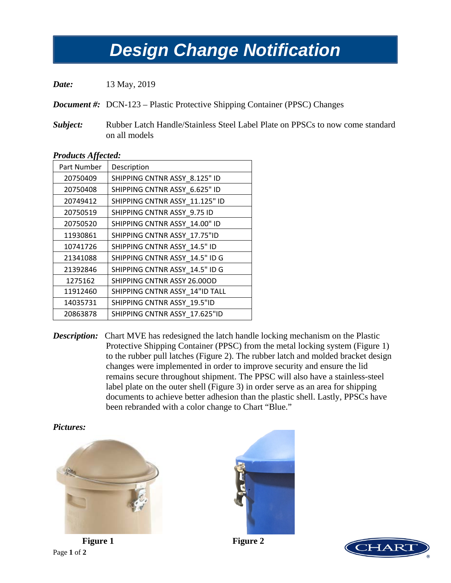## *Design Change Notification Design Change Notification*

*Date:* 13 May, 2019

*Document #:* DCN-123 – Plastic Protective Shipping Container (PPSC) Changes

*Subject:* Rubber Latch Handle/Stainless Steel Label Plate on PPSCs to now come standard on all models

| <i>Products Affected:</i> |                                |
|---------------------------|--------------------------------|
| Part Number               | Description                    |
| 20750409                  | SHIPPING CNTNR ASSY_8.125" ID  |
| 20750408                  | SHIPPING CNTNR ASSY 6.625" ID  |
| 20749412                  | SHIPPING CNTNR ASSY 11.125" ID |
| 20750519                  | SHIPPING CNTNR ASSY 9.75 ID    |
| 20750520                  | SHIPPING CNTNR ASSY 14.00" ID  |
| 11930861                  | SHIPPING CNTNR ASSY 17.75"ID   |
| 10741726                  | SHIPPING CNTNR ASSY 14.5" ID   |
| 21341088                  | SHIPPING CNTNR ASSY_14.5" ID G |
| 21392846                  | SHIPPING CNTNR ASSY_14.5" ID G |
| 1275162                   | SHIPPING CNTNR ASSY 26.00OD    |
| 11912460                  | SHIPPING CNTNR ASSY_14"ID TALL |
| 14035731                  | SHIPPING CNTNR ASSY 19.5"ID    |
| 20863878                  | SHIPPING CNTNR ASSY 17.625"ID  |
|                           |                                |

## *Products Affected:*

*Description:* Chart MVE has redesigned the latch handle locking mechanism on the Plastic Protective Shipping Container (PPSC) from the metal locking system (Figure 1) to the rubber pull latches (Figure 2). The rubber latch and molded bracket design changes were implemented in order to improve security and ensure the lid remains secure throughout shipment. The PPSC will also have a stainless-steel label plate on the outer shell (Figure 3) in order serve as an area for shipping documents to achieve better adhesion than the plastic shell. Lastly, PPSCs have been rebranded with a color change to Chart "Blue."

*Pictures:*



Page **1** of **2**



**Figure 1 Figure 2**